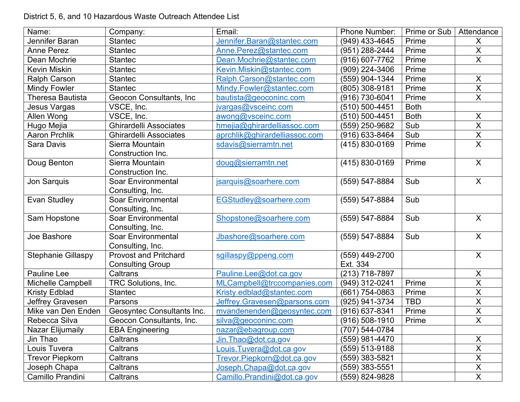District 5, 6, and 10 Hazardous Waste Outreach Attendee List

| Name:                     | Company:                        | Email:                        | <b>Phone Number:</b> | Prime or Sub | Attendance     |
|---------------------------|---------------------------------|-------------------------------|----------------------|--------------|----------------|
| Jennifer Baran            | <b>Stantec</b>                  | Jennifer.Baran@stantec.com    | (949) 433-4645       | Prime        | X              |
| <b>Anne Perez</b>         | <b>Stantec</b>                  | Anne.Perez@stantec.com        | (951) 288-2444       | Prime        | $\sf X$        |
| Dean Mochrie              | <b>Stantec</b>                  | Dean.Mochrie@stantec.com      | (916) 607-7762       | Prime        | X              |
| <b>Kevin Miskin</b>       | <b>Stantec</b>                  | Kevin.Miskin@stantec.com      | (909) 224-3406       | Prime        |                |
| <b>Ralph Carson</b>       | <b>Stantec</b>                  | Ralph.Carson@stantec.com      | (559) 904-1344       | Prime        | X              |
| <b>Mindy Fowler</b>       | <b>Stantec</b>                  | Mindy.Fowler@stantec.com      | (805) 308-9181       | Prime        | $\overline{X}$ |
| <b>Theresa Bautista</b>   | <b>Geocon Consultants, Inc.</b> | bautista@geoconinc.com        | (916) 730-6041       | Prime        | $\overline{X}$ |
| Jesus Vargas              | VSCE, Inc.                      | jvargas@vsceinc.com           | (510) 500-4451       | <b>Both</b>  |                |
| Allen Wong                | VSCE, Inc.                      | awong@vsceinc.com             | (510) 500-4451       | <b>Both</b>  | X              |
| Hugo Mejia                | <b>Ghirardelli Associates</b>   | hmejia@ghirardelliassoc.com   | (559) 250-9682       | Sub          | $\sf X$        |
| <b>Aaron Prchlik</b>      | <b>Ghirardelli Associates</b>   | aprchlik@ghirardelliassoc.com | (916) 633-8464       | Sub          | $\sf X$        |
| <b>Sara Davis</b>         | Sierra Mountain                 | sdavis@sierramtn.net          | (415) 830-0169       | Prime        | $\mathsf{X}$   |
|                           | Construction Inc.               |                               |                      |              |                |
| Doug Benton               | Sierra Mountain                 | doug@sierramtn.net            | (415) 830-0169       | Prime        | $\sf X$        |
|                           | Construction Inc.               |                               |                      |              |                |
| Jon Sarquis               | <b>Soar Environmental</b>       | jsarquis@soarhere.com         | (559) 547-8884       | Sub          | $\mathsf{X}$   |
|                           | Consulting, Inc.                |                               |                      |              |                |
| Evan Studley              | <b>Soar Environmental</b>       | EGStudley@soarhere.com        | (559) 547-8884       | Sub          |                |
|                           | Consulting, Inc.                |                               |                      |              |                |
| Sam Hopstone              | <b>Soar Environmental</b>       | Shopstone@soarhere.com        | (559) 547-8884       | Sub          | $\sf X$        |
|                           | Consulting, Inc.                |                               |                      |              |                |
| Joe Bashore               | <b>Soar Environmental</b>       | Jbashore@soarhere.com         | (559) 547-8884       | Sub          | X              |
|                           | Consulting, Inc.                |                               |                      |              |                |
| <b>Stephanie Gillaspy</b> | <b>Provost and Pritchard</b>    | sgillaspy@ppeng.com           | (559) 449-2700       |              | $\mathsf{X}$   |
|                           | <b>Consulting Group</b>         |                               | Ext. 334             |              |                |
| Pauline Lee               | Caltrans                        | Pauline.Lee@dot.ca.gov        | (213) 718-7897       |              | X              |
| <b>Michelle Campbell</b>  | <b>TRC Solutions, Inc.</b>      | MLCampbell@trccompanies.com   | (949) 312-0241       | Prime        | $\sf X$        |
| <b>Kristy Edblad</b>      | <b>Stantec</b>                  | Kristy.edblad@stantec.com     | (661) 754-0863       | Prime        | $\sf X$        |
| Jeffrey Gravesen          | Parsons                         | Jeffrey.Gravesen@parsons.com  | (925) 941-3734       | <b>TBD</b>   | $\sf X$        |
| Mike van Den Enden        | Geosyntec Consultants Inc.      | mvandenenden@geosyntec.com    | (916) 637-8341       | Prime        | $\overline{X}$ |
| Rebecca Silva             | Geocon Consultants, Inc.        | silva@geoconinc.com           | $(916) 508 - 1910$   | Prime        | $\overline{X}$ |
| Nazar Elijumaily          | <b>EBA Engineering</b>          | nazar@ebagroup.com            | (707) 544-0784       |              |                |
| Jin Thao                  | Caltrans                        | Jin.Thao@dot.ca.gov           | (559) 981-4470       |              | X              |
| Louis Tuvera              | Caltrans                        | Louis.Tuvera@dot.ca.gov       | (559) 513-9188       |              | $\mathsf{X}$   |
| <b>Trevor Piepkorn</b>    | Caltrans                        | Trevor.Piepkorn@dot.ca.gov    | (559) 383-5821       |              | X              |
| Joseph Chapa              | Caltrans                        | Joseph.Chapa@dot.ca.gov       | (559) 383-5551       |              | X              |
| Camillo Prandini          | Caltrans                        | Camillo.Prandini@dot.ca.gov   | (559) 824-9828       |              | X              |